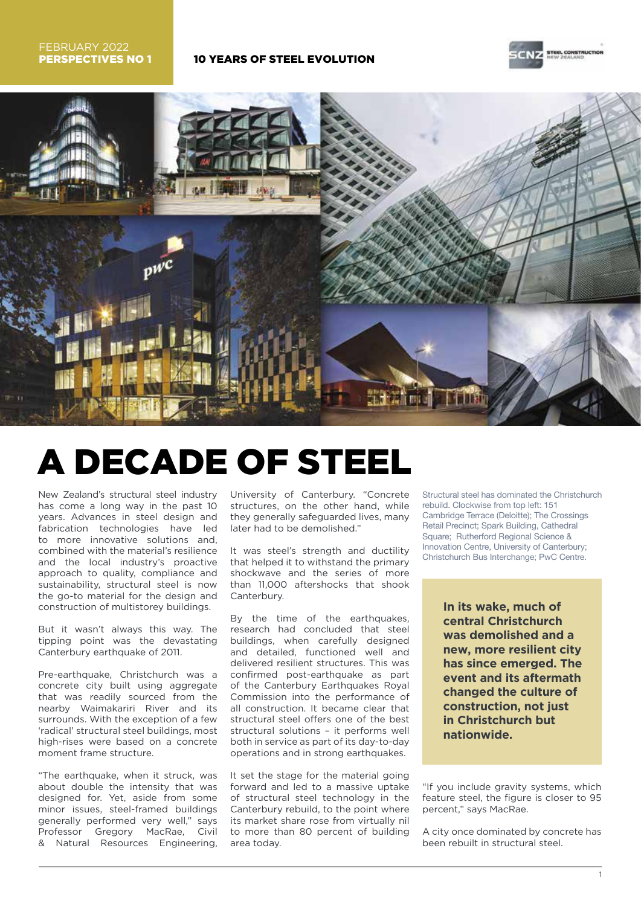



# A DECADE OF STEEL

New Zealand's structural steel industry has come a long way in the past 10 years. Advances in steel design and fabrication technologies have led to more innovative solutions and, combined with the material's resilience and the local industry's proactive approach to quality, compliance and sustainability, structural steel is now the go-to material for the design and construction of multistorey buildings.

But it wasn't always this way. The tipping point was the devastating Canterbury earthquake of 2011.

Pre-earthquake, Christchurch was a concrete city built using aggregate that was readily sourced from the nearby Waimakariri River and its surrounds. With the exception of a few 'radical' structural steel buildings, most high-rises were based on a concrete moment frame structure.

"The earthquake, when it struck, was about double the intensity that was designed for. Yet, aside from some minor issues, steel-framed buildings generally performed very well," says Professor Gregory MacRae, Civil Natural Resources Engineering,

University of Canterbury. "Concrete structures, on the other hand, while they generally safeguarded lives, many later had to be demolished."

It was steel's strength and ductility that helped it to withstand the primary shockwave and the series of more than 11,000 aftershocks that shook Canterbury.

By the time of the earthquakes, research had concluded that steel buildings, when carefully designed and detailed, functioned well and delivered resilient structures. This was confirmed post-earthquake as part of the Canterbury Earthquakes Royal Commission into the performance of all construction. It became clear that structural steel offers one of the best structural solutions – it performs well both in service as part of its day-to-day operations and in strong earthquakes.

It set the stage for the material going forward and led to a massive uptake of structural steel technology in the Canterbury rebuild, to the point where its market share rose from virtually nil to more than 80 percent of building area today.

Structural steel has dominated the Christchurch rebuild. Clockwise from top left: 151 Cambridge Terrace (Deloitte); The Crossings Retail Precinct; Spark Building, Cathedral Square; Rutherford Regional Science & Innovation Centre, University of Canterbury; Christchurch Bus Interchange; PwC Centre.

> **In its wake, much of central Christchurch was demolished and a new, more resilient city has since emerged. The event and its aftermath changed the culture of construction, not just in Christchurch but nationwide.**

"If you include gravity systems, which feature steel, the figure is closer to 95 percent," says MacRae.

A city once dominated by concrete has been rebuilt in structural steel.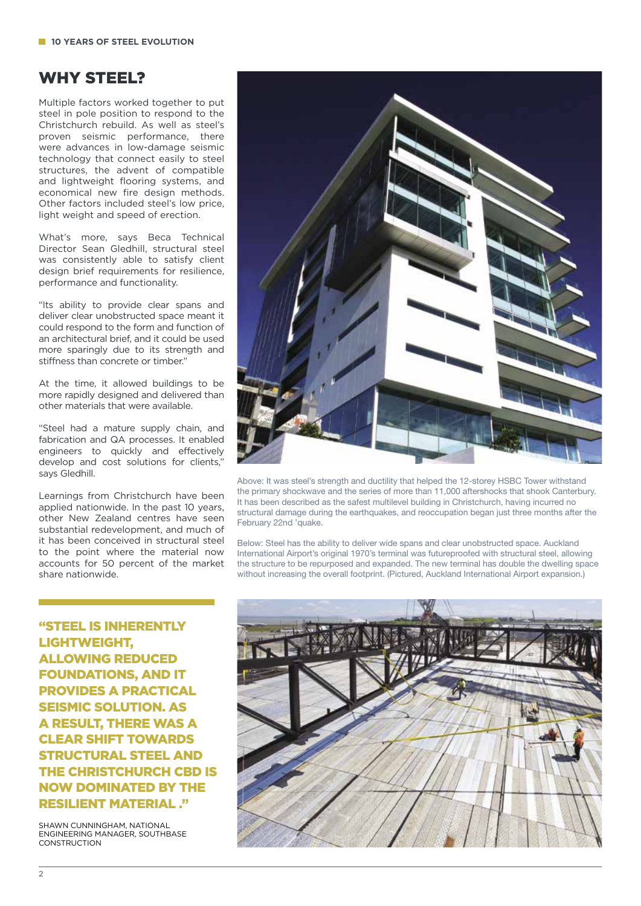## WHY STEEL?

Multiple factors worked together to put steel in pole position to respond to the Christchurch rebuild. As well as steel's proven seismic performance, there were advances in low-damage seismic technology that connect easily to steel structures, the advent of compatible and lightweight flooring systems, and economical new fire design methods. Other factors included steel's low price, light weight and speed of erection.

What's more, says Beca Technical Director Sean Gledhill, structural steel was consistently able to satisfy client design brief requirements for resilience, performance and functionality.

"Its ability to provide clear spans and deliver clear unobstructed space meant it could respond to the form and function of an architectural brief, and it could be used more sparingly due to its strength and stiffness than concrete or timber."

At the time, it allowed buildings to be more rapidly designed and delivered than other materials that were available.

"Steel had a mature supply chain, and fabrication and QA processes. It enabled engineers to quickly and effectively develop and cost solutions for clients," says Gledhill.

Learnings from Christchurch have been applied nationwide. In the past 10 years, other New Zealand centres have seen substantial redevelopment, and much of it has been conceived in structural steel to the point where the material now accounts for 50 percent of the market share nationwide.

"STEEL IS INHERENTLY LIGHTWEIGHT, ALLOWING REDUCED FOUNDATIONS, AND IT PROVIDES A PRACTICAL SEISMIC SOLUTION. AS A RESULT, THERE WAS A CLEAR SHIFT TOWARDS STRUCTURAL STEEL AND THE CHRISTCHURCH CBD IS NOW DOMINATED BY THE RESILIENT MATERIAL ."

SHAWN CUNNINGHAM, NATIONAL ENGINEERING MANAGER, SOUTHBASE **CONSTRUCTION** 



Above: It was steel's strength and ductility that helped the 12-storey HSBC Tower withstand the primary shockwave and the series of more than 11,000 aftershocks that shook Canterbury. It has been described as the safest multilevel building in Christchurch, having incurred no structural damage during the earthquakes, and reoccupation began just three months after the February 22nd 'quake.

Below: Steel has the ability to deliver wide spans and clear unobstructed space. Auckland International Airport's original 1970's terminal was futureproofed with structural steel, allowing the structure to be repurposed and expanded. The new terminal has double the dwelling space without increasing the overall footprint. (Pictured, Auckland International Airport expansion.)

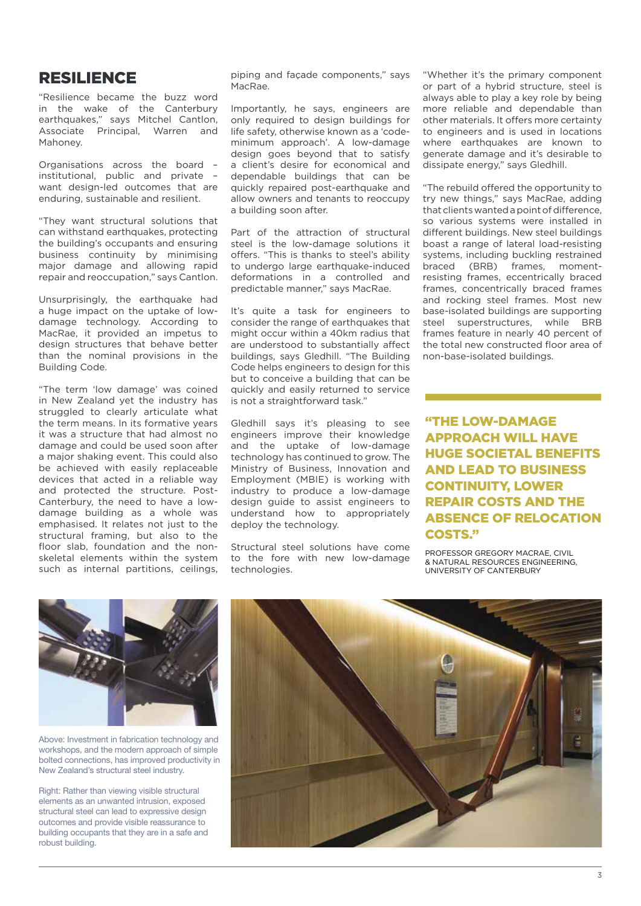#### RESILIENCE

"Resilience became the buzz word in the wake of the Canterbury earthquakes," says Mitchel Cantlon, Associate Principal, Warren and Mahoney.

Organisations across the board – institutional, public and private – want design-led outcomes that are enduring, sustainable and resilient.

"They want structural solutions that can withstand earthquakes, protecting the building's occupants and ensuring business continuity by minimising major damage and allowing rapid repair and reoccupation," says Cantlon.

Unsurprisingly, the earthquake had a huge impact on the uptake of lowdamage technology. According to MacRae, it provided an impetus to design structures that behave better than the nominal provisions in the Building Code.

"The term 'low damage' was coined in New Zealand yet the industry has struggled to clearly articulate what the term means. In its formative years it was a structure that had almost no damage and could be used soon after a major shaking event. This could also be achieved with easily replaceable devices that acted in a reliable way and protected the structure. Post-Canterbury, the need to have a lowdamage building as a whole was emphasised. It relates not just to the structural framing, but also to the floor slab, foundation and the nonskeletal elements within the system such as internal partitions, ceilings, piping and façade components," says MacRae.

Importantly, he says, engineers are only required to design buildings for life safety, otherwise known as a 'codeminimum approach'. A low-damage design goes beyond that to satisfy a client's desire for economical and dependable buildings that can be quickly repaired post-earthquake and allow owners and tenants to reoccupy a building soon after.

Part of the attraction of structural steel is the low-damage solutions it offers. "This is thanks to steel's ability to undergo large earthquake-induced deformations in a controlled and predictable manner," says MacRae.

It's quite a task for engineers to consider the range of earthquakes that might occur within a 40km radius that are understood to substantially affect buildings, says Gledhill. "The Building Code helps engineers to design for this but to conceive a building that can be quickly and easily returned to service is not a straightforward task."

Gledhill says it's pleasing to see engineers improve their knowledge and the uptake of low-damage technology has continued to grow. The Ministry of Business, Innovation and Employment (MBIE) is working with industry to produce a low-damage design guide to assist engineers to understand how to appropriately deploy the technology.

Structural steel solutions have come to the fore with new low-damage technologies.

"Whether it's the primary component or part of a hybrid structure, steel is always able to play a key role by being more reliable and dependable than other materials. It offers more certainty to engineers and is used in locations where earthquakes are known to generate damage and it's desirable to dissipate energy," says Gledhill.

"The rebuild offered the opportunity to try new things," says MacRae, adding that clients wanted a point of difference, so various systems were installed in different buildings. New steel buildings boast a range of lateral load-resisting systems, including buckling restrained braced (BRB) frames, momentresisting frames, eccentrically braced frames, concentrically braced frames and rocking steel frames. Most new base-isolated buildings are supporting steel superstructures, while BRB frames feature in nearly 40 percent of the total new constructed floor area of non-base-isolated buildings.

"THE LOW-DAMAGE APPROACH WILL HAVE HUGE SOCIETAL BENEFITS AND LEAD TO BUSINESS CONTINUITY, LOWER REPAIR COSTS AND THE ABSENCE OF RELOCATION COSTS."

PROFESSOR GREGORY MACRAE, CIVIL & NATURAL RESOURCES ENGINEERING, UNIVERSITY OF CANTERBURY



Above: Investment in fabrication technology and workshops, and the modern approach of simple bolted connections, has improved productivity in New Zealand's structural steel industry.

Right: Rather than viewing visible structural elements as an unwanted intrusion, exposed structural steel can lead to expressive design outcomes and provide visible reassurance to building occupants that they are in a safe and robust building.

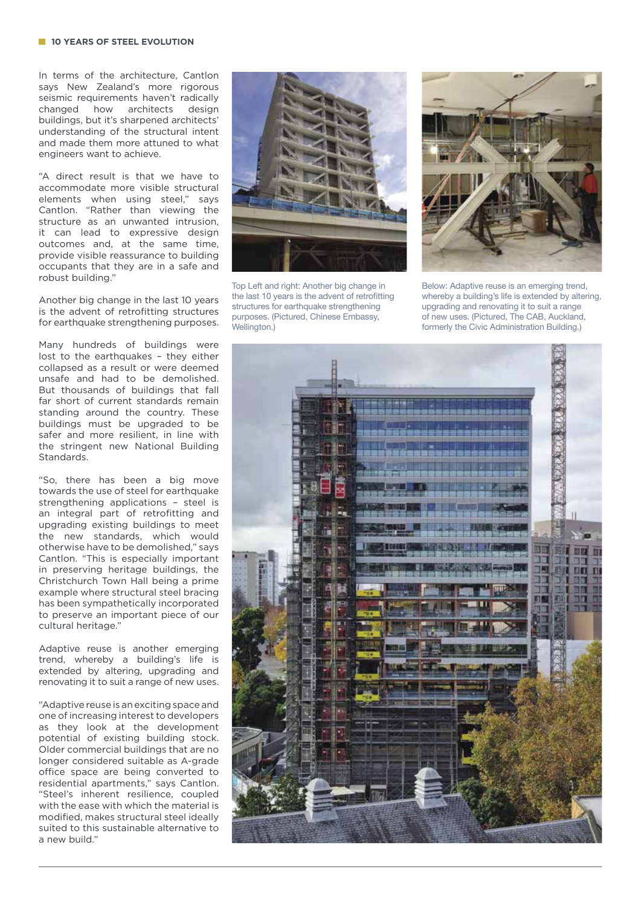In terms of the architecture, Cantlon says New Zealand's more rigorous seismic requirements haven't radically changed how architects design buildings, but it's sharpened architects' understanding of the structural intent and made them more attuned to what engineers want to achieve.

"A direct result is that we have to accommodate more visible structural elements when using steel," says Cantlon. "Rather than viewing the structure as an unwanted intrusion, it can lead to expressive design outcomes and, at the same time, provide visible reassurance to building occupants that they are in a safe and robust building."

Another big change in the last 10 years is the advent of retrofitting structures for earthquake strengthening purposes.

Many hundreds of buildings were lost to the earthquakes – they either collapsed as a result or were deemed unsafe and had to be demolished. But thousands of buildings that fall far short of current standards remain standing around the country. These buildings must be upgraded to be safer and more resilient, in line with the stringent new National Building Standards.

"So, there has been a big move towards the use of steel for earthquake strengthening applications – steel is an integral part of retrofitting and upgrading existing buildings to meet the new standards, which would otherwise have to be demolished," says Cantlon. "This is especially important in preserving heritage buildings, the Christchurch Town Hall being a prime example where structural steel bracing has been sympathetically incorporated to preserve an important piece of our cultural heritage."

Adaptive reuse is another emerging trend, whereby a building's life is extended by altering, upgrading and renovating it to suit a range of new uses.

"Adaptive reuse is an exciting space and one of increasing interest to developers as they look at the development potential of existing building stock. Older commercial buildings that are no longer considered suitable as A-grade office space are being converted to residential apartments," says Cantlon. "Steel's inherent resilience, coupled with the ease with which the material is modified, makes structural steel ideally suited to this sustainable alternative to a new build."



the last 10 years is the advent of retrofitting structures for earthquake strengthening purposes. (Pictured, Chinese Embassy, Wellington.)



Below: Adaptive reuse is an emerging trend, whereby a building's life is extended by altering, upgrading and renovating it to suit a range of new uses. (Pictured, The CAB, Auckland, formerly the Civic Administration Building.)

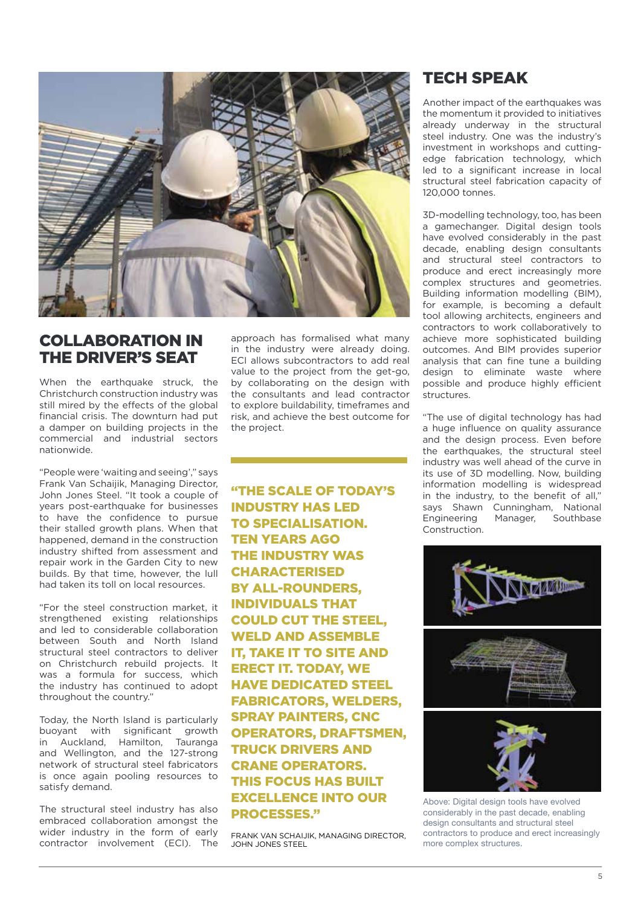

## COLLABORATION IN THE DRIVER'S SEAT

When the earthquake struck, the Christchurch construction industry was still mired by the effects of the global financial crisis. The downturn had put a damper on building projects in the commercial and industrial sectors nationwide.

"People were 'waiting and seeing'," says Frank Van Schaijik, Managing Director, John Jones Steel. "It took a couple of years post-earthquake for businesses to have the confidence to pursue their stalled growth plans. When that happened, demand in the construction industry shifted from assessment and repair work in the Garden City to new builds. By that time, however, the lull had taken its toll on local resources.

"For the steel construction market, it strengthened existing relationships and led to considerable collaboration between South and North Island structural steel contractors to deliver on Christchurch rebuild projects. It was a formula for success, which the industry has continued to adopt throughout the country."

Today, the North Island is particularly buoyant with significant growth in Auckland, Hamilton, Tauranga and Wellington, and the 127-strong network of structural steel fabricators is once again pooling resources to satisfy demand.

The structural steel industry has also embraced collaboration amongst the wider industry in the form of early contractor involvement (ECI). The approach has formalised what many in the industry were already doing. ECI allows subcontractors to add real value to the project from the get-go, by collaborating on the design with the consultants and lead contractor to explore buildability, timeframes and risk, and achieve the best outcome for the project.

"THE SCALE OF TODAY'S INDUSTRY HAS LED TO SPECIALISATION. TEN YEARS AGO THE INDUSTRY WAS CHARACTERISED BY ALL-ROUNDERS, INDIVIDUALS THAT COULD CUT THE STEEL, WELD AND ASSEMBLE IT, TAKE IT TO SITE AND ERECT IT. TODAY, WE HAVE DEDICATED STEEL FABRICATORS, WELDERS, SPRAY PAINTERS, CNC OPERATORS, DRAFTSMEN, TRUCK DRIVERS AND CRANE OPERATORS. THIS FOCUS HAS BUILT EXCELLENCE INTO OUR PROCESSES."

FRANK VAN SCHAIJIK, MANAGING DIRECTOR, JOHN JONES STEEL

### TECH SPEAK

Another impact of the earthquakes was the momentum it provided to initiatives already underway in the structural steel industry. One was the industry's investment in workshops and cuttingedge fabrication technology, which led to a significant increase in local structural steel fabrication capacity of 120,000 tonnes.

3D-modelling technology, too, has been a gamechanger. Digital design tools have evolved considerably in the past decade, enabling design consultants and structural steel contractors to produce and erect increasingly more complex structures and geometries. Building information modelling (BIM), for example, is becoming a default tool allowing architects, engineers and contractors to work collaboratively to achieve more sophisticated building outcomes. And BIM provides superior analysis that can fine tune a building design to eliminate waste where possible and produce highly efficient structures.

"The use of digital technology has had a huge influence on quality assurance and the design process. Even before the earthquakes, the structural steel industry was well ahead of the curve in its use of 3D modelling. Now, building information modelling is widespread in the industry, to the benefit of all," says Shawn Cunningham, National Engineering Manager, Southbase Construction.



Above: Digital design tools have evolved considerably in the past decade, enabling design consultants and structural steel contractors to produce and erect increasingly more complex structures.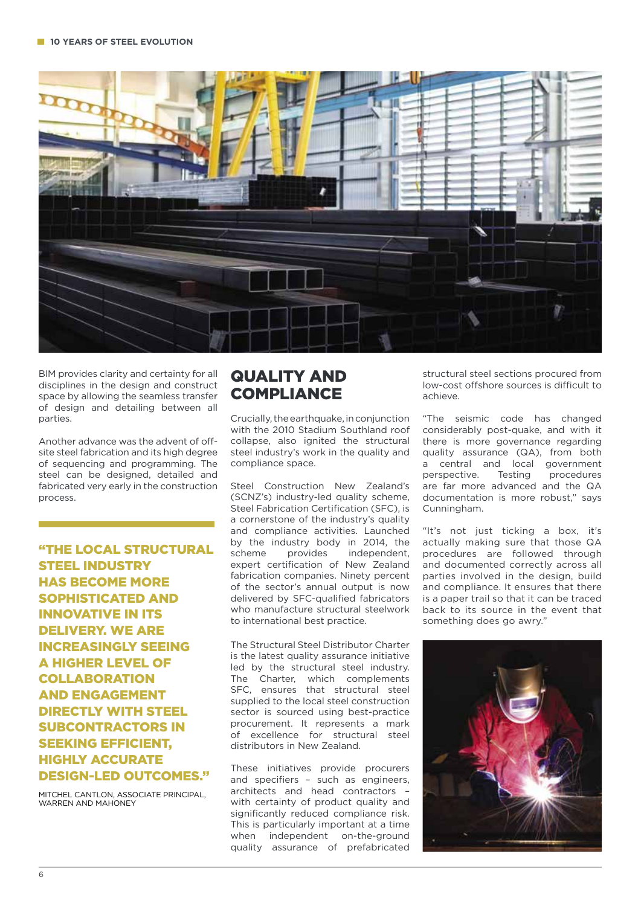

BIM provides clarity and certainty for all disciplines in the design and construct space by allowing the seamless transfer of design and detailing between all parties.

Another advance was the advent of offsite steel fabrication and its high degree of sequencing and programming. The steel can be designed, detailed and fabricated very early in the construction process.

"THE LOCAL STRUCTURAL STEEL INDUSTRY HAS BECOME MORE SOPHISTICATED AND INNOVATIVE IN ITS DELIVERY. WE ARE INCREASINGLY SEEING A HIGHER LEVEL OF **COLLABORATION** AND ENGAGEMENT DIRECTLY WITH STEEL SUBCONTRACTORS IN SEEKING EFFICIENT, HIGHLY ACCURATE DESIGN-LED OUTCOMES."

MITCHEL CANTLON, ASSOCIATE PRINCIPAL, WARREN AND MAHONEY

### QUALITY AND **COMPLIANCE**

Crucially, the earthquake, in conjunction with the 2010 Stadium Southland roof collapse, also ignited the structural steel industry's work in the quality and compliance space.

Steel Construction New Zealand's (SCNZ's) industry-led quality scheme, Steel Fabrication Certification (SFC), is a cornerstone of the industry's quality and compliance activities. Launched by the industry body in 2014, the scheme provides independent expert certification of New Zealand fabrication companies. Ninety percent of the sector's annual output is now delivered by SFC-qualified fabricators who manufacture structural steelwork to international best practice.

The Structural Steel Distributor Charter is the latest quality assurance initiative led by the structural steel industry. The Charter, which complements SFC, ensures that structural steel supplied to the local steel construction sector is sourced using best-practice procurement. It represents a mark of excellence for structural steel distributors in New Zealand.

These initiatives provide procurers and specifiers – such as engineers, architects and head contractors – with certainty of product quality and significantly reduced compliance risk. This is particularly important at a time when independent on-the-ground quality assurance of prefabricated

structural steel sections procured from low-cost offshore sources is difficult to achieve.

"The seismic code has changed considerably post-quake, and with it there is more governance regarding quality assurance (QA), from both a central and local government perspective. Testing procedures are far more advanced and the QA documentation is more robust," says Cunningham.

"It's not just ticking a box, it's actually making sure that those QA procedures are followed through and documented correctly across all parties involved in the design, build and compliance. It ensures that there is a paper trail so that it can be traced back to its source in the event that something does go awry."

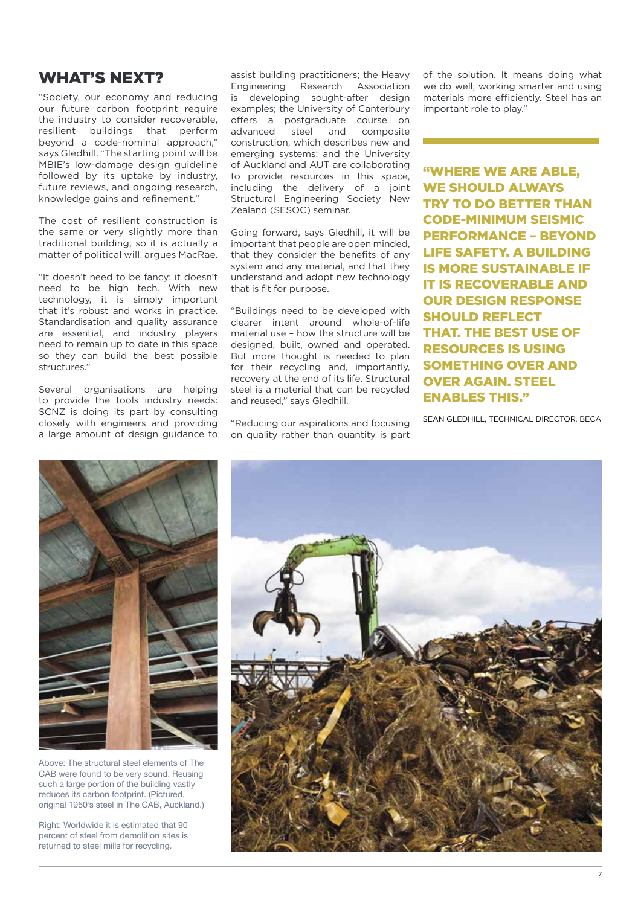#### WHAT'S NEXT?

"Society, our economy and reducing our future carbon footprint require the industry to consider recoverable, resilient buildings that perform beyond a code-nominal approach," says Gledhill. "The starting point will be MBIE's low-damage design guideline followed by its uptake by industry, future reviews, and ongoing research, knowledge gains and refinement."

The cost of resilient construction is the same or very slightly more than traditional building, so it is actually a matter of political will, argues MacRae.

"It doesn't need to be fancy; it doesn't need to be high tech. With new technology, it is simply important that it's robust and works in practice. Standardisation and quality assurance are essential, and industry players need to remain up to date in this space so they can build the best possible structures."

Several organisations are helping to provide the tools industry needs: SCNZ is doing its part by consulting closely with engineers and providing a large amount of design guidance to

assist building practitioners; the Heavy Engineering Research Association is developing sought-after design examples; the University of Canterbury offers a postgraduate course on advanced steel and composite construction, which describes new and emerging systems; and the University of Auckland and AUT are collaborating to provide resources in this space, including the delivery of a joint Structural Engineering Society New Zealand (SESOC) seminar.

Going forward, says Gledhill, it will be important that people are open minded, that they consider the benefits of any system and any material, and that they understand and adopt new technology that is fit for purpose.

"Buildings need to be developed with clearer intent around whole-of-life material use – how the structure will be designed, built, owned and operated. But more thought is needed to plan for their recycling and, importantly, recovery at the end of its life. Structural steel is a material that can be recycled and reused," says Gledhill.

"Reducing our aspirations and focusing on quality rather than quantity is part of the solution. It means doing what we do well, working smarter and using materials more efficiently. Steel has an important role to play."

"WHERE WE ARE ABLE, WE SHOULD ALWAYS TRY TO DO BETTER THAN CODE-MINIMUM SEISMIC PERFORMANCE – BEYOND LIFE SAFETY. A BUILDING IS MORE SUSTAINABLE IF IT IS RECOVERABLE AND OUR DESIGN RESPONSE SHOULD REFLECT THAT. THE BEST USE OF RESOURCES IS USING SOMETHING OVER AND OVER AGAIN. STEEL ENABLES THIS."

SEAN GLEDHILL, TECHNICAL DIRECTOR, BECA



Above: The structural steel elements of The CAB were found to be very sound. Reusing such a large portion of the building vastly reduces its carbon footprint. (Pictured, original 1950's steel in The CAB, Auckland.)

Right: Worldwide it is estimated that 90 percent of steel from demolition sites is returned to steel mills for recycling.